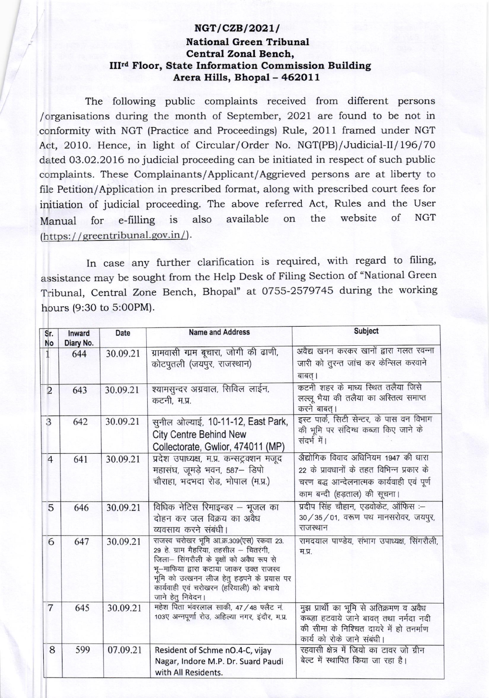## $NGT/CZB/2021/$ National Green Tribunal Central Zonal Bench, IIIrd Floor, State Information Commission Building Arera Hills, Bhopal - 462011

The following public complaints received from different persons /organisations during the month of September, 2O2l are found to be not in conformity with NGT (Practice and Proceedings) Rule, 2011 framed under NGT Act, 2010. Hence, in light of Circular/Order No. NGT(PB)/Judicial-II/196/70 dated 03.O2.2016 no judicial proceeding can be initiated in respect of such public complaints. These Complainants/Applicant/Aggrieved persons are at liberty to file Petition/Application in prescribed format, along with prescribed court fees for initiation of judicial proceeding. The above referred Act, Rules and the User Manual for e-filling is also available on the website of NGT  $(htips://greentribunal.gov.in/).$ 

In case any further clarification is required, with regard to filing, assistance may be sought from the Help Desk of Filing Section of "National Green Tribunal, Central Zone Bench, Bhopal" at 0755-2579745 during the working hpurs (9:30 to 5:00PM).

| Sr.<br>No      | Inward<br>Diary No. | Date     | <b>Name and Address</b>                                                                                                                                                                                                                                                                   | Subject                                                                                                                                                        |
|----------------|---------------------|----------|-------------------------------------------------------------------------------------------------------------------------------------------------------------------------------------------------------------------------------------------------------------------------------------------|----------------------------------------------------------------------------------------------------------------------------------------------------------------|
|                | 644                 | 30.09.21 | ग्रामवासी ग्रम बूचारा, जोगी की ढाणी,<br>कोटपुतली (जयपुर, राजस्थान)                                                                                                                                                                                                                        | अवैद्य खनन करकर खानों द्वारा गलत रवन्ना<br>जारी को तुरन्त जांच कर केन्सिल करवाने<br>बाबत् ।                                                                    |
| $\overline{2}$ | 643                 | 30.09.21 | श्यामसुन्दर अग्रवाल, सिविल लाईन,<br>कटनी, म.प्र.                                                                                                                                                                                                                                          | कटनी शहर के माध्य स्थित तलैया जिसे<br>लल्लू भैया की तलैया का अस्तित्व समाप्त<br>करने बाबत्।                                                                    |
| 3              | 642                 | 30.09.21 | सुनील ओल्याई, 10-11-12, East Park,<br><b>City Centre Behind New</b><br>Collectorate, Gwlior, 474011 (MP)                                                                                                                                                                                  | इस्ट पार्क, सिटी सेन्टर, के पास वन विभाग<br>की भूमि पर संदिग्ध कब्जा किए जाने के<br>संदर्भ में।                                                                |
| $\overline{4}$ | 641                 | 30.09.21 | प्रदेश उपाध्यक्ष, म.प्र. कन्सट्रक्शन मजूद<br>महासंघ, जूमड़े भवन, 587- डिपो<br>चौराहा, भदभदा रोड, भोपाल (म.प्र.)                                                                                                                                                                           | अैद्योगिक विवाद अधिनियम 1947 की धारा<br>22 के प्रावधानों के तहत विभिन्न प्रकार के<br>चरण बद्ध आन्देलनात्मक कार्यवाही एवं पूर्ण<br>काम बन्दी (हड़ताल) की सूचना। |
| 5              | 646                 | 30.09.21 | विधिक नेटिस रिमाइन्डर – भूजल का<br>दोहन कर जल विक्रय का अवैध<br>व्यवसाय करने संबंधी।                                                                                                                                                                                                      | प्रदीप सिंह चौहान, एडवोकेट, ऑफिस :-<br>30 / 35 / 01, वरूण पथ मानसरोवर, जयपुर,<br>राजस्थान                                                                      |
| 6              | 647                 | 30.09.21 | राजस्व चरोखर भूमि आ.क्र.309 (एस) रकवा 23.<br>29 हे. ग्राम मैहरिया, तहसील - चितरंगी,<br>जिला- सिंगरौली के वृक्षों को अवैध रूप से<br>भू-माफिया द्वारा कटाया जाकर उक्त राजस्व<br>भूमि को उत्खनन लीज हेतु हड़पने के प्रयास पर<br>कार्यवाही एवं चरोखरन (हरियाली) को बचाये<br>जाने हेतु निवेदन। | रामदयाल पाण्डेय, संभाग उपाध्यक्ष, सिंगरौली,<br>म.प्र.                                                                                                          |
| $\overline{7}$ | 645                 | 30.09.21 | महेश पिता भंवरलाल साकी, 47 / 48 फ्लैट नं.<br>103ए अन्नपूर्णा रोउ, अहिल्या नगर, इंदौर, म.प्र.                                                                                                                                                                                              | मुझ प्रार्थी का भूमि से अतिक्रमण व अवैध<br>कब्ज़ा हटवाये जाने बावत् तथा नर्मदा नदी<br>की सीमा के निश्चित दायरे में हो तनर्माण<br>कार्य को रोके जाने संबंधी।    |
| 8              | 599                 | 07.09.21 | Resident of Schme nO.4-C, vijay<br>Nagar, Indore M.P. Dr. Suard Paudi<br>with All Residents.                                                                                                                                                                                              | रहवासी क्षेत्र में जियो का टावर जो ग्रीन<br>बेल्ट में स्थापित किया जा रहा है।                                                                                  |